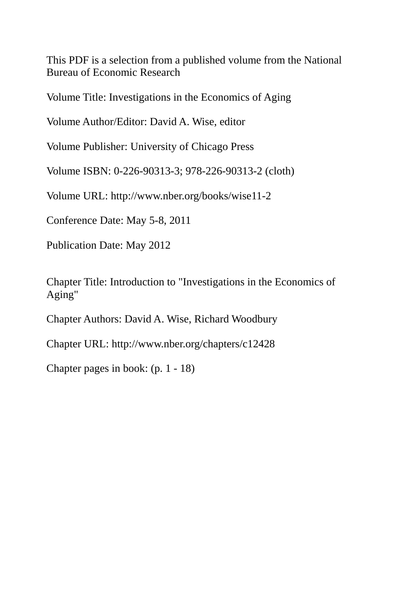This PDF is a selection from a published volume from the National Bureau of Economic Research

Volume Title: Investigations in the Economics of Aging

Volume Author/Editor: David A. Wise, editor

Volume Publisher: University of Chicago Press

Volume ISBN: 0-226-90313-3; 978-226-90313-2 (cloth)

Volume URL: http://www.nber.org/books/wise11-2

Conference Date: May 5-8, 2011

Publication Date: May 2012

Chapter Title: Introduction to "Investigations in the Economics of Aging"

Chapter Authors: David A. Wise, Richard Woodbury

Chapter URL: http://www.nber.org/chapters/c12428

Chapter pages in book: (p. 1 - 18)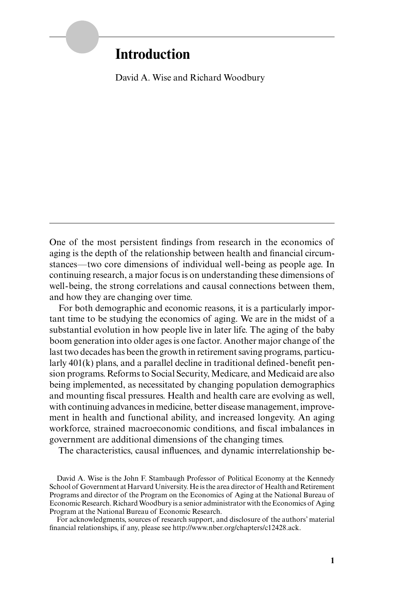## **Introduction**

David A. Wise and Richard Woodbury

One of the most persistent findings from research in the economics of aging is the depth of the relationship between health and financial circumstances—two core dimensions of individual well- being as people age. In continuing research, a major focus is on understanding these dimensions of well- being, the strong correlations and causal connections between them, and how they are changing over time.

For both demographic and economic reasons, it is a particularly important time to be studying the economics of aging. We are in the midst of a substantial evolution in how people live in later life. The aging of the baby boom generation into older ages is one factor. Another major change of the last two decades has been the growth in retirement saving programs, particularly  $401(k)$  plans, and a parallel decline in traditional defined-benefit pension programs. Reforms to Social Security, Medicare, and Medicaid are also being implemented, as necessitated by changing population demographics and mounting fiscal pressures. Health and health care are evolving as well, with continuing advances in medicine, better disease management, improvement in health and functional ability, and increased longevity. An aging workforce, strained macroeconomic conditions, and fiscal imbalances in government are additional dimensions of the changing times.

The characteristics, causal influences, and dynamic interrelationship be-

For acknowledgments, sources of research support, and disclosure of the authors' material financial relationships, if any, please see http://www.nber.org/chapters/c12428.ack.

David A. Wise is the John F. Stambaugh Professor of Political Economy at the Kennedy School of Government at Harvard University. He is the area director of Health and Retirement Programs and director of the Program on the Economics of Aging at the National Bureau of Economic Research. Richard Woodbury is a senior administrator with the Economics of Aging Program at the National Bureau of Economic Research.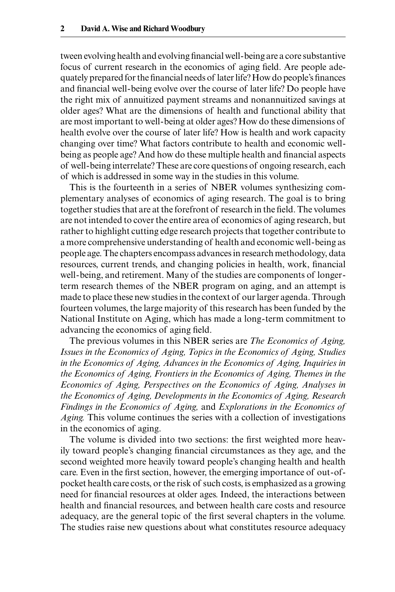tween evolving health and evolving financial well-being are a core substantive focus of current research in the economics of aging field. Are people adequately prepared for the financial needs of later life? How do people's finances and financial well-being evolve over the course of later life? Do people have the right mix of annuitized payment streams and nonannuitized savings at older ages? What are the dimensions of health and functional ability that are most important to well- being at older ages? How do these dimensions of health evolve over the course of later life? How is health and work capacity changing over time? What factors contribute to health and economic wellbeing as people age? And how do these multiple health and financial aspects of well- being interrelate? These are core questions of ongoing research, each of which is addressed in some way in the studies in this volume.

This is the fourteenth in a series of NBER volumes synthesizing complementary analyses of economics of aging research. The goal is to bring together studies that are at the forefront of research in the field. The volumes are not intended to cover the entire area of economics of aging research, but rather to highlight cutting edge research projects that together contribute to a more comprehensive understanding of health and economic well- being as people age. The chapters encompass advances in research methodology, data resources, current trends, and changing policies in health, work, financial well- being, and retirement. Many of the studies are components of longerterm research themes of the NBER program on aging, and an attempt is made to place these new studies in the context of our larger agenda. Through fourteen volumes, the large majority of this research has been funded by the National Institute on Aging, which has made a long- term commitment to advancing the economics of aging field.

The previous volumes in this NBER series are *The Economics of Aging, Issues in the Economics of Aging, Topics in the Economics of Aging, Studies in the Economics of Aging, Advances in the Economics of Aging, Inquiries in the Economics of Aging, Frontiers in the Economics of Aging, Themes in the Economics of Aging, Perspectives on the Economics of Aging, Analyses in the Economics of Aging, Developments in the Economics of Aging, Research Findings in the Economics of Aging,* and *Explorations in the Economics of Aging.* This volume continues the series with a collection of investigations in the economics of aging.

The volume is divided into two sections: the first weighted more heavily toward people's changing financial circumstances as they age, and the second weighted more heavily toward people's changing health and health care. Even in the first section, however, the emerging importance of out-ofpocket health care costs, or the risk of such costs, is emphasized as a growing need for financial resources at older ages. Indeed, the interactions between health and financial resources, and between health care costs and resource adequacy, are the general topic of the first several chapters in the volume. The studies raise new questions about what constitutes resource adequacy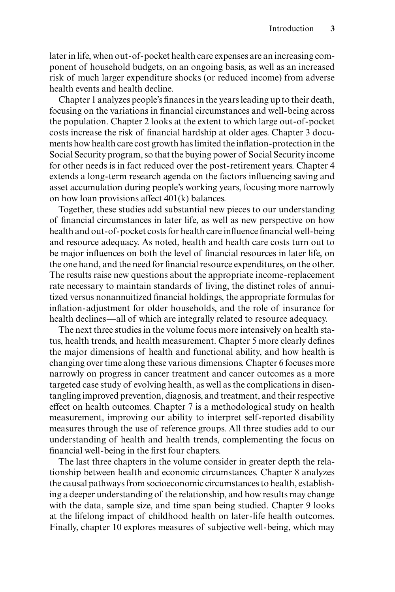later in life, when out- of-pocket health care expenses are an increasing component of household budgets, on an ongoing basis, as well as an increased risk of much larger expenditure shocks (or reduced income) from adverse health events and health decline.

Chapter 1 analyzes people's finances in the years leading up to their death, focusing on the variations in financial circumstances and well-being across the population. Chapter 2 looks at the extent to which large out- of- pocket costs increase the risk of financial hardship at older ages. Chapter 3 documents how health care cost growth has limited the inflation-protection in the Social Security program, so that the buying power of Social Security income for other needs is in fact reduced over the post- retirement years. Chapter 4 extends a long-term research agenda on the factors influencing saving and asset accumulation during people's working years, focusing more narrowly on how loan provisions affect 401(k) balances.

Together, these studies add substantial new pieces to our understanding of financial circumstances in later life, as well as new perspective on how health and out-of-pocket costs for health care influence financial well-being and resource adequacy. As noted, health and health care costs turn out to be major influences on both the level of financial resources in later life, on the one hand, and the need for financial resource expenditures, on the other. The results raise new questions about the appropriate income- replacement rate necessary to maintain standards of living, the distinct roles of annuitized versus nonannuitized financial holdings, the appropriate formulas for inflation-adjustment for older households, and the role of insurance for health declines—all of which are integrally related to resource adequacy.

The next three studies in the volume focus more intensively on health status, health trends, and health measurement. Chapter 5 more clearly defines the major dimensions of health and functional ability, and how health is changing over time along these various dimensions. Chapter 6 focuses more narrowly on progress in cancer treatment and cancer outcomes as a more targeted case study of evolving health, as well as the complications in disentangling improved prevention, diagnosis, and treatment, and their respective effect on health outcomes. Chapter 7 is a methodological study on health measurement, improving our ability to interpret self- reported disability measures through the use of reference groups. All three studies add to our understanding of health and health trends, complementing the focus on financial well-being in the first four chapters.

The last three chapters in the volume consider in greater depth the relationship between health and economic circumstances. Chapter 8 analyzes the causal pathways from socioeconomic circumstances to health, establishing a deeper understanding of the relationship, and how results may change with the data, sample size, and time span being studied. Chapter 9 looks at the lifelong impact of childhood health on later- life health outcomes. Finally, chapter 10 explores measures of subjective well- being, which may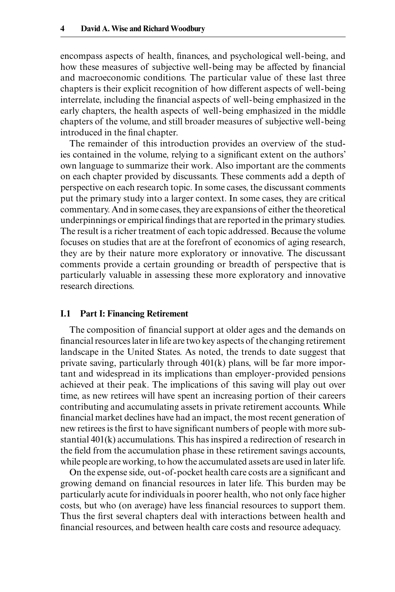encompass aspects of health, finances, and psychological well-being, and how these measures of subjective well-being may be affected by financial and macroeconomic conditions. The particular value of these last three chapters is their explicit recognition of how different aspects of well- being interrelate, including the financial aspects of well-being emphasized in the early chapters, the health aspects of well- being emphasized in the middle chapters of the volume, and still broader measures of subjective well- being introduced in the final chapter.

The remainder of this introduction provides an overview of the studies contained in the volume, relying to a significant extent on the authors' own language to summarize their work. Also important are the comments on each chapter provided by discussants. These comments add a depth of perspective on each research topic. In some cases, the discussant comments put the primary study into a larger context. In some cases, they are critical commentary. And in some cases, they are expansions of either the theoretical underpinnings or empirical findings that are reported in the primary studies. The result is a richer treatment of each topic addressed. Because the volume focuses on studies that are at the forefront of economics of aging research, they are by their nature more exploratory or innovative. The discussant comments provide a certain grounding or breadth of perspective that is particularly valuable in assessing these more exploratory and innovative research directions.

## **I.1 Part I: Financing Retirement**

The composition of financial support at older ages and the demands on financial resources later in life are two key aspects of the changing retirement landscape in the United States. As noted, the trends to date suggest that private saving, particularly through 401(k) plans, will be far more important and widespread in its implications than employer- provided pensions achieved at their peak. The implications of this saving will play out over time, as new retirees will have spent an increasing portion of their careers contributing and accumulating assets in private retirement accounts. While financial market declines have had an impact, the most recent generation of new retirees is the first to have significant numbers of people with more substantial 401(k) accumulations. This has inspired a redirection of research in the field from the accumulation phase in these retirement savings accounts, while people are working, to how the accumulated assets are used in later life.

On the expense side, out-of-pocket health care costs are a significant and growing demand on financial resources in later life. This burden may be particularly acute for individuals in poorer health, who not only face higher costs, but who (on average) have less financial resources to support them. Thus the first several chapters deal with interactions between health and financial resources, and between health care costs and resource adequacy.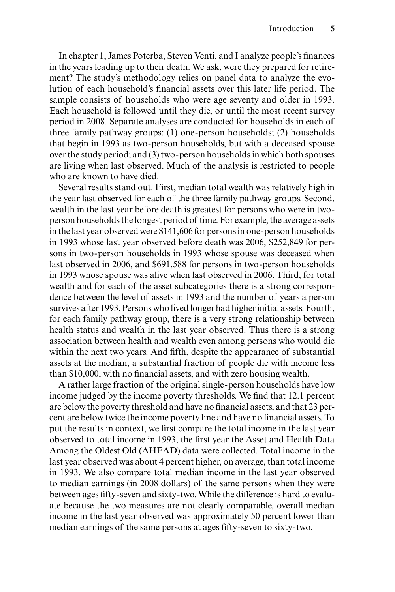In chapter 1, James Poterba, Steven Venti, and I analyze people's finances in the years leading up to their death. We ask, were they prepared for retirement? The study's methodology relies on panel data to analyze the evolution of each household's financial assets over this later life period. The sample consists of households who were age seventy and older in 1993. Each household is followed until they die, or until the most recent survey period in 2008. Separate analyses are conducted for households in each of three family pathway groups: (1) one- person households; (2) households that begin in 1993 as two- person households, but with a deceased spouse over the study period; and (3) two- person households in which both spouses are living when last observed. Much of the analysis is restricted to people who are known to have died.

Several results stand out. First, median total wealth was relatively high in the year last observed for each of the three family pathway groups. Second, wealth in the last year before death is greatest for persons who were in twoperson households the longest period of time. For example, the average assets in the last year observed were \$141,606 for persons in one- person households in 1993 whose last year observed before death was 2006, \$252,849 for persons in two- person households in 1993 whose spouse was deceased when last observed in 2006, and \$691,588 for persons in two- person households in 1993 whose spouse was alive when last observed in 2006. Third, for total wealth and for each of the asset subcategories there is a strong correspondence between the level of assets in 1993 and the number of years a person survives after 1993. Persons who lived longer had higher initial assets. Fourth, for each family pathway group, there is a very strong relationship between health status and wealth in the last year observed. Thus there is a strong association between health and wealth even among persons who would die within the next two years. And fifth, despite the appearance of substantial assets at the median, a substantial fraction of people die with income less than \$10,000, with no financial assets, and with zero housing wealth.

A rather large fraction of the original single- person households have low income judged by the income poverty thresholds. We find that 12.1 percent are below the poverty threshold and have no financial assets, and that 23 percent are below twice the income poverty line and have no financial assets. To put the results in context, we first compare the total income in the last year observed to total income in 1993, the first year the Asset and Health Data Among the Oldest Old (AHEAD) data were collected. Total income in the last year observed was about 4 percent higher, on average, than total income in 1993. We also compare total median income in the last year observed to median earnings (in 2008 dollars) of the same persons when they were between ages fifty-seven and sixty-two. While the difference is hard to evaluate because the two measures are not clearly comparable, overall median income in the last year observed was approximately 50 percent lower than median earnings of the same persons at ages fifty-seven to sixty-two.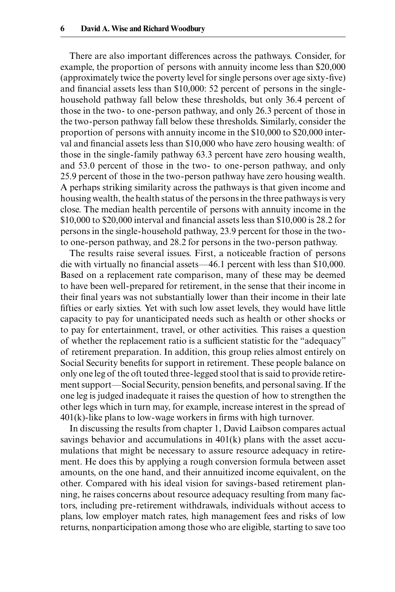There are also important differences across the pathways. Consider, for example, the proportion of persons with annuity income less than \$20,000 (approximately twice the poverty level for single persons over age sixty-five) and financial assets less than  $$10,000$ : 52 percent of persons in the singlehousehold pathway fall below these thresholds, but only 36.4 percent of those in the two- to one- person pathway, and only 26.3 percent of those in the two- person pathway fall below these thresholds. Similarly, consider the proportion of persons with annuity income in the \$10,000 to \$20,000 interval and financial assets less than \$10,000 who have zero housing wealth: of those in the single- family pathway 63.3 percent have zero housing wealth, and 53.0 percent of those in the two- to one- person pathway, and only 25.9 percent of those in the two- person pathway have zero housing wealth. A perhaps striking similarity across the pathways is that given income and housing wealth, the health status of the persons in the three pathways is very close. The median health percentile of persons with annuity income in the  $$10,000$  to  $$20,000$  interval and financial assets less than  $$10,000$  is 28.2 for persons in the single- household pathway, 23.9 percent for those in the two to one- person pathway, and 28.2 for persons in the two- person pathway.

The results raise several issues. First, a noticeable fraction of persons die with virtually no financial assets—46.1 percent with less than \$10,000. Based on a replacement rate comparison, many of these may be deemed to have been well- prepared for retirement, in the sense that their income in their final years was not substantially lower than their income in their late fifties or early sixties. Yet with such low asset levels, they would have little capacity to pay for unanticipated needs such as health or other shocks or to pay for entertainment, travel, or other activities. This raises a question of whether the replacement ratio is a sufficient statistic for the "adequacy" of retirement preparation. In addition, this group relies almost entirely on Social Security benefits for support in retirement. These people balance on only one leg of the oft touted three- legged stool that is said to provide retirement support—Social Security, pension benefits, and personal saving. If the one leg is judged inadequate it raises the question of how to strengthen the other legs which in turn may, for example, increase interest in the spread of  $401(k)$ -like plans to low-wage workers in firms with high turnover.

In discussing the results from chapter 1, David Laibson compares actual savings behavior and accumulations in 401(k) plans with the asset accumulations that might be necessary to assure resource adequacy in retirement. He does this by applying a rough conversion formula between asset amounts, on the one hand, and their annuitized income equivalent, on the other. Compared with his ideal vision for savings- based retirement planning, he raises concerns about resource adequacy resulting from many factors, including pre- retirement withdrawals, individuals without access to plans, low employer match rates, high management fees and risks of low returns, nonparticipation among those who are eligible, starting to save too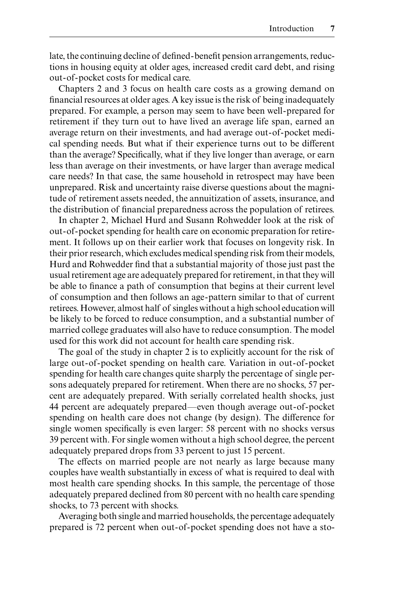late, the continuing decline of defined-benefit pension arrangements, reductions in housing equity at older ages, increased credit card debt, and rising out- of- pocket costs for medical care.

Chapters 2 and 3 focus on health care costs as a growing demand on financial resources at older ages. A key issue is the risk of being inadequately prepared. For example, a person may seem to have been well- prepared for retirement if they turn out to have lived an average life span, earned an average return on their investments, and had average out- of- pocket medical spending needs. But what if their experience turns out to be different than the average? Specifically, what if they live longer than average, or earn less than average on their investments, or have larger than average medical care needs? In that case, the same household in retrospect may have been unprepared. Risk and uncertainty raise diverse questions about the magnitude of retirement assets needed, the annuitization of assets, insurance, and the distribution of financial preparedness across the population of retirees.

In chapter 2, Michael Hurd and Susann Rohwedder look at the risk of out- of- pocket spending for health care on economic preparation for retirement. It follows up on their earlier work that focuses on longevity risk. In their prior research, which excludes medical spending risk from their models, Hurd and Rohwedder find that a substantial majority of those just past the usual retirement age are adequately prepared for retirement, in that they will be able to finance a path of consumption that begins at their current level of consumption and then follows an age- pattern similar to that of current retirees. However, almost half of singles without a high school education will be likely to be forced to reduce consumption, and a substantial number of married college graduates will also have to reduce consumption. The model used for this work did not account for health care spending risk.

The goal of the study in chapter 2 is to explicitly account for the risk of large out-of-pocket spending on health care. Variation in out-of-pocket spending for health care changes quite sharply the percentage of single persons adequately prepared for retirement. When there are no shocks, 57 percent are adequately prepared. With serially correlated health shocks, just 44 percent are adequately prepared—even though average out- of- pocket spending on health care does not change (by design). The difference for single women specifically is even larger: 58 percent with no shocks versus 39 percent with. For single women without a high school degree, the percent adequately prepared drops from 33 percent to just 15 percent.

The effects on married people are not nearly as large because many couples have wealth substantially in excess of what is required to deal with most health care spending shocks. In this sample, the percentage of those adequately prepared declined from 80 percent with no health care spending shocks, to 73 percent with shocks.

Averaging both single and married households, the percentage adequately prepared is 72 percent when out-of-pocket spending does not have a sto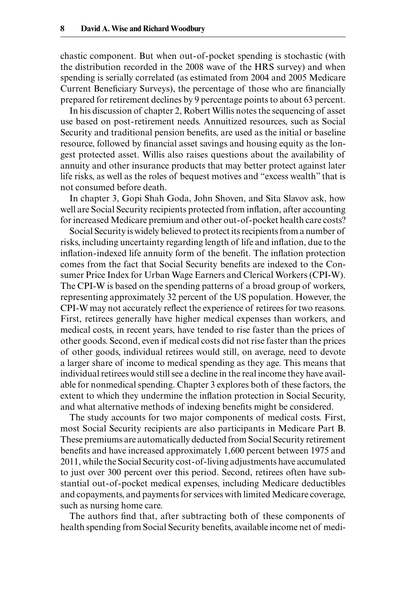chastic component. But when out- of- pocket spending is stochastic (with the distribution recorded in the 2008 wave of the HRS survey) and when spending is serially correlated (as estimated from 2004 and 2005 Medicare Current Beneficiary Surveys), the percentage of those who are financially prepared for retirement declines by 9 percentage points to about 63 percent.

In his discussion of chapter 2, Robert Willis notes the sequencing of asset use based on post- retirement needs. Annuitized resources, such as Social Security and traditional pension benefits, are used as the initial or baseline resource, followed by financial asset savings and housing equity as the longest protected asset. Willis also raises questions about the availability of annuity and other insurance products that may better protect against later life risks, as well as the roles of bequest motives and "excess wealth" that is not consumed before death.

In chapter 3, Gopi Shah Goda, John Shoven, and Sita Slavov ask, how well are Social Security recipients protected from inflation, after accounting for increased Medicare premium and other out- of- pocket health care costs?

Social Security is widely believed to protect its recipients from a number of risks, including uncertainty regarding length of life and inflation, due to the inflation-indexed life annuity form of the benefit. The inflation protection comes from the fact that Social Security benefits are indexed to the Consumer Price Index for Urban Wage Earners and Clerical Workers (CPI-W). The CPI-W is based on the spending patterns of a broad group of workers, representing approximately 32 percent of the US population. However, the CPI-W may not accurately reflect the experience of retirees for two reasons. First, retirees generally have higher medical expenses than workers, and medical costs, in recent years, have tended to rise faster than the prices of other goods. Second, even if medical costs did not rise faster than the prices of other goods, individual retirees would still, on average, need to devote a larger share of income to medical spending as they age. This means that individual retirees would still see a decline in the real income they have available for nonmedical spending. Chapter 3 explores both of these factors, the extent to which they undermine the inflation protection in Social Security, and what alternative methods of indexing benefits might be considered.

The study accounts for two major components of medical costs. First, most Social Security recipients are also participants in Medicare Part B. These premiums are automatically deducted from Social Security retirement benefits and have increased approximately 1,600 percent between 1975 and 2011, while the Social Security cost- of- living adjustments have accumulated to just over 300 percent over this period. Second, retirees often have substantial out- of- pocket medical expenses, including Medicare deductibles and copayments, and payments for services with limited Medicare coverage, such as nursing home care.

The authors find that, after subtracting both of these components of health spending from Social Security benefits, available income net of medi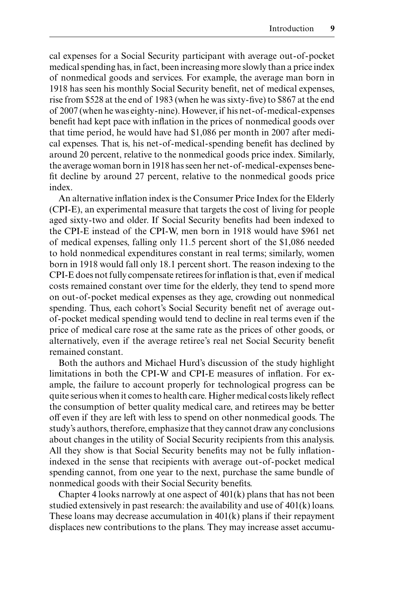cal expenses for a Social Security participant with average out- of- pocket medical spending has, in fact, been increasing more slowly than a price index of nonmedical goods and services. For example, the average man born in 1918 has seen his monthly Social Security benefit, net of medical expenses, rise from \$528 at the end of 1983 (when he was sixty-five) to \$867 at the end of 2007 (when he was eighty- nine). However, if his net- of- medical- expenses benefit had kept pace with inflation in the prices of nonmedical goods over that time period, he would have had \$1,086 per month in 2007 after medical expenses. That is, his net-of-medical-spending benefit has declined by around 20 percent, relative to the nonmedical goods price index. Similarly, the average woman born in 1918 has seen her net- of- medical- expenses benefit decline by around 27 percent, relative to the nonmedical goods price index.

An alternative inflation index is the Consumer Price Index for the Elderly (CPI- E), an experimental measure that targets the cost of living for people aged sixty-two and older. If Social Security benefits had been indexed to the CPI-E instead of the CPI-W, men born in 1918 would have \$961 net of medical expenses, falling only 11.5 percent short of the \$1,086 needed to hold nonmedical expenditures constant in real terms; similarly, women born in 1918 would fall only 18.1 percent short. The reason indexing to the CPI-E does not fully compensate retirees for inflation is that, even if medical costs remained constant over time for the elderly, they tend to spend more on out- of- pocket medical expenses as they age, crowding out nonmedical spending. Thus, each cohort's Social Security benefit net of average outof- pocket medical spending would tend to decline in real terms even if the price of medical care rose at the same rate as the prices of other goods, or alternatively, even if the average retiree's real net Social Security benefit remained constant.

Both the authors and Michael Hurd's discussion of the study highlight limitations in both the CPI-W and CPI-E measures of inflation. For example, the failure to account properly for technological progress can be quite serious when it comes to health care. Higher medical costs likely reflect the consumption of better quality medical care, and retirees may be better off even if they are left with less to spend on other nonmedical goods. The study's authors, therefore, emphasize that they cannot draw any conclusions about changes in the utility of Social Security recipients from this analysis. All they show is that Social Security benefits may not be fully inflationindexed in the sense that recipients with average out- of- pocket medical spending cannot, from one year to the next, purchase the same bundle of nonmedical goods with their Social Security benefits.

Chapter 4 looks narrowly at one aspect of 401(k) plans that has not been studied extensively in past research: the availability and use of 401(k) loans. These loans may decrease accumulation in 401(k) plans if their repayment displaces new contributions to the plans. They may increase asset accumu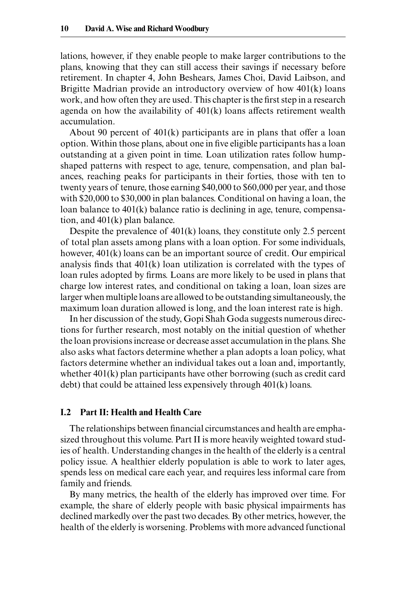lations, however, if they enable people to make larger contributions to the plans, knowing that they can still access their savings if necessary before retirement. In chapter 4, John Beshears, James Choi, David Laibson, and Brigitte Madrian provide an introductory overview of how 401(k) loans work, and how often they are used. This chapter is the first step in a research agenda on how the availability of 401(k) loans affects retirement wealth accumulation.

About 90 percent of 401(k) participants are in plans that offer a loan option. Within those plans, about one in five eligible participants has a loan outstanding at a given point in time. Loan utilization rates follow humpshaped patterns with respect to age, tenure, compensation, and plan balances, reaching peaks for participants in their forties, those with ten to twenty years of tenure, those earning \$40,000 to \$60,000 per year, and those with \$20,000 to \$30,000 in plan balances. Conditional on having a loan, the loan balance to 401(k) balance ratio is declining in age, tenure, compensation, and 401(k) plan balance.

Despite the prevalence of 401(k) loans, they constitute only 2.5 percent of total plan assets among plans with a loan option. For some individuals, however, 401(k) loans can be an important source of credit. Our empirical analysis finds that  $401(k)$  loan utilization is correlated with the types of loan rules adopted by firms. Loans are more likely to be used in plans that charge low interest rates, and conditional on taking a loan, loan sizes are larger when multiple loans are allowed to be outstanding simultaneously, the maximum loan duration allowed is long, and the loan interest rate is high.

In her discussion of the study, Gopi Shah Goda suggests numerous directions for further research, most notably on the initial question of whether the loan provisions increase or decrease asset accumulation in the plans. She also asks what factors determine whether a plan adopts a loan policy, what factors determine whether an individual takes out a loan and, importantly, whether 401(k) plan participants have other borrowing (such as credit card debt) that could be attained less expensively through 401(k) loans.

## **I.2 Part II: Health and Health Care**

The relationships between financial circumstances and health are emphasized throughout this volume. Part II is more heavily weighted toward studies of health. Understanding changes in the health of the elderly is a central policy issue. A healthier elderly population is able to work to later ages, spends less on medical care each year, and requires less informal care from family and friends.

By many metrics, the health of the elderly has improved over time. For example, the share of elderly people with basic physical impairments has declined markedly over the past two decades. By other metrics, however, the health of the elderly is worsening. Problems with more advanced functional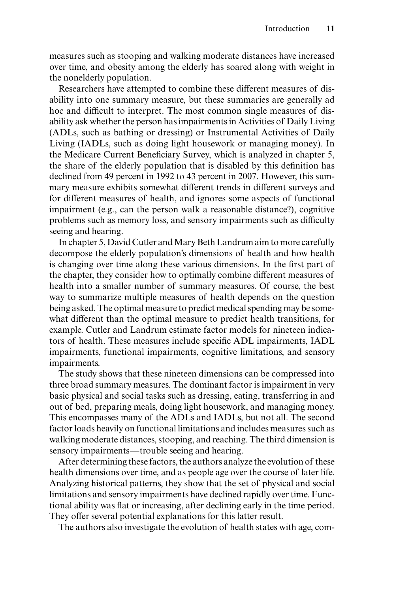measures such as stooping and walking moderate distances have increased over time, and obesity among the elderly has soared along with weight in the nonelderly population.

Researchers have attempted to combine these different measures of disability into one summary measure, but these summaries are generally ad hoc and difficult to interpret. The most common single measures of disability ask whether the person has impairments in Activities of Daily Living (ADLs, such as bathing or dressing) or Instrumental Activities of Daily Living (IADLs, such as doing light housework or managing money). In the Medicare Current Beneficiary Survey, which is analyzed in chapter 5, the share of the elderly population that is disabled by this definition has declined from 49 percent in 1992 to 43 percent in 2007. However, this summary measure exhibits somewhat different trends in different surveys and for different measures of health, and ignores some aspects of functional impairment (e.g., can the person walk a reasonable distance?), cognitive problems such as memory loss, and sensory impairments such as difficulty seeing and hearing.

In chapter 5, David Cutler and Mary Beth Landrum aim to more carefully decompose the elderly population's dimensions of health and how health is changing over time along these various dimensions. In the first part of the chapter, they consider how to optimally combine different measures of health into a smaller number of summary measures. Of course, the best way to summarize multiple measures of health depends on the question being asked. The optimal measure to predict medical spending may be somewhat different than the optimal measure to predict health transitions, for example. Cutler and Landrum estimate factor models for nineteen indicators of health. These measures include specific ADL impairments, IADL impairments, functional impairments, cognitive limitations, and sensory impairments.

The study shows that these nineteen dimensions can be compressed into three broad summary measures. The dominant factor is impairment in very basic physical and social tasks such as dressing, eating, transferring in and out of bed, preparing meals, doing light housework, and managing money. This encompasses many of the ADLs and IADLs, but not all. The second factor loads heavily on functional limitations and includes measures such as walking moderate distances, stooping, and reaching. The third dimension is sensory impairments—trouble seeing and hearing.

After determining these factors, the authors analyze the evolution of these health dimensions over time, and as people age over the course of later life. Analyzing historical patterns, they show that the set of physical and social limitations and sensory impairments have declined rapidly over time. Functional ability was flat or increasing, after declining early in the time period. They offer several potential explanations for this latter result.

The authors also investigate the evolution of health states with age, com-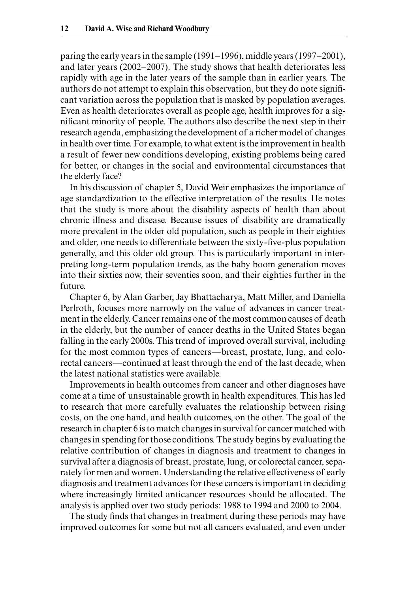paring the early years in the sample (1991– 1996), middle years (1997– 2001), and later years (2002– 2007). The study shows that health deteriorates less rapidly with age in the later years of the sample than in earlier years. The authors do not attempt to explain this observation, but they do note significant variation across the population that is masked by population averages. Even as health deteriorates overall as people age, health improves for a significant minority of people. The authors also describe the next step in their research agenda, emphasizing the development of a richer model of changes in health over time. For example, to what extent is the improvement in health a result of fewer new conditions developing, existing problems being cared for better, or changes in the social and environmental circumstances that the elderly face?

In his discussion of chapter 5, David Weir emphasizes the importance of age standardization to the effective interpretation of the results. He notes that the study is more about the disability aspects of health than about chronic illness and disease. Because issues of disability are dramatically more prevalent in the older old population, such as people in their eighties and older, one needs to differentiate between the sixty-five-plus population generally, and this older old group. This is particularly important in interpreting long- term population trends, as the baby boom generation moves into their sixties now, their seventies soon, and their eighties further in the future.

Chapter 6, by Alan Garber, Jay Bhattacharya, Matt Miller, and Daniella Perlroth, focuses more narrowly on the value of advances in cancer treatment in the elderly. Cancer remains one of the most common causes of death in the elderly, but the number of cancer deaths in the United States began falling in the early 2000s. This trend of improved overall survival, including for the most common types of cancers—breast, prostate, lung, and colorectal cancers—continued at least through the end of the last decade, when the latest national statistics were available.

Improvements in health outcomes from cancer and other diagnoses have come at a time of unsustainable growth in health expenditures. This has led to research that more carefully evaluates the relationship between rising costs, on the one hand, and health outcomes, on the other. The goal of the research in chapter 6 is to match changes in survival for cancer matched with changes in spending for those conditions. The study begins by evaluating the relative contribution of changes in diagnosis and treatment to changes in survival after a diagnosis of breast, prostate, lung, or colorectal cancer, separately for men and women. Understanding the relative effectiveness of early diagnosis and treatment advances for these cancers is important in deciding where increasingly limited anticancer resources should be allocated. The analysis is applied over two study periods: 1988 to 1994 and 2000 to 2004.

The study finds that changes in treatment during these periods may have improved outcomes for some but not all cancers evaluated, and even under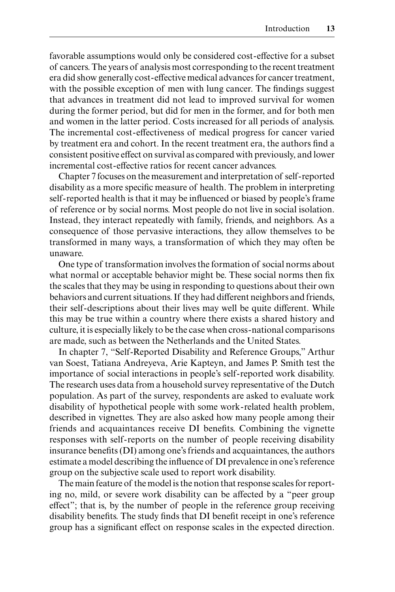favorable assumptions would only be considered cost-effective for a subset of cancers. The years of analysis most corresponding to the recent treatment era did show generally cost- effective medical advances for cancer treatment, with the possible exception of men with lung cancer. The findings suggest that advances in treatment did not lead to improved survival for women during the former period, but did for men in the former, and for both men and women in the latter period. Costs increased for all periods of analysis. The incremental cost-effectiveness of medical progress for cancer varied by treatment era and cohort. In the recent treatment era, the authors find a consistent positive effect on survival as compared with previously, and lower incremental cost- effective ratios for recent cancer advances.

Chapter 7 focuses on the measurement and interpretation of self- reported disability as a more specific measure of health. The problem in interpreting self-reported health is that it may be influenced or biased by people's frame of reference or by social norms. Most people do not live in social isolation. Instead, they interact repeatedly with family, friends, and neighbors. As a consequence of those pervasive interactions, they allow themselves to be transformed in many ways, a transformation of which they may often be unaware.

One type of transformation involves the formation of social norms about what normal or acceptable behavior might be. These social norms then fix the scales that they may be using in responding to questions about their own behaviors and current situations. If they had different neighbors and friends, their self- descriptions about their lives may well be quite different. While this may be true within a country where there exists a shared history and culture, it is especially likely to be the case when cross- national comparisons are made, such as between the Netherlands and the United States.

In chapter 7, "Self-Reported Disability and Reference Groups," Arthur van Soest, Tatiana Andreyeva, Arie Kapteyn, and James P. Smith test the importance of social interactions in people's self- reported work disability. The research uses data from a household survey representative of the Dutch population. As part of the survey, respondents are asked to evaluate work disability of hypothetical people with some work- related health problem, described in vignettes. They are also asked how many people among their friends and acquaintances receive DI benefits. Combining the vignette responses with self- reports on the number of people receiving disability insurance benefits (DI) among one's friends and acquaintances, the authors estimate a model describing the influence of DI prevalence in one's reference group on the subjective scale used to report work disability.

The main feature of the model is the notion that response scales for reporting no, mild, or severe work disability can be affected by a "peer group effect"; that is, by the number of people in the reference group receiving disability benefits. The study finds that DI benefit receipt in one's reference group has a significant effect on response scales in the expected direction.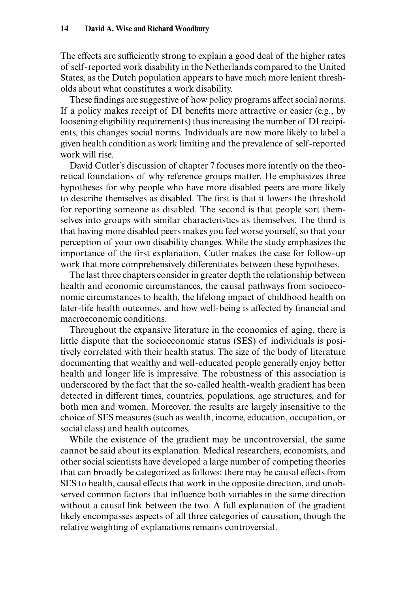The effects are sufficiently strong to explain a good deal of the higher rates of self- reported work disability in the Netherlands compared to the United States, as the Dutch population appears to have much more lenient thresholds about what constitutes a work disability.

These findings are suggestive of how policy programs affect social norms. If a policy makes receipt of  $DI$  benefits more attractive or easier (e.g., by loosening eligibility requirements) thus increasing the number of DI recipients, this changes social norms. Individuals are now more likely to label a given health condition as work limiting and the prevalence of self- reported work will rise.

David Cutler's discussion of chapter 7 focuses more intently on the theoretical foundations of why reference groups matter. He emphasizes three hypotheses for why people who have more disabled peers are more likely to describe themselves as disabled. The first is that it lowers the threshold for reporting someone as disabled. The second is that people sort themselves into groups with similar characteristics as themselves. The third is that having more disabled peers makes you feel worse yourself, so that your perception of your own disability changes. While the study emphasizes the importance of the first explanation, Cutler makes the case for follow-up work that more comprehensively differentiates between these hypotheses.

The last three chapters consider in greater depth the relationship between health and economic circumstances, the causal pathways from socioeconomic circumstances to health, the lifelong impact of childhood health on later-life health outcomes, and how well-being is affected by financial and macroeconomic conditions.

Throughout the expansive literature in the economics of aging, there is little dispute that the socioeconomic status (SES) of individuals is positively correlated with their health status. The size of the body of literature documenting that wealthy and well- educated people generally enjoy better health and longer life is impressive. The robustness of this association is underscored by the fact that the so- called health- wealth gradient has been detected in different times, countries, populations, age structures, and for both men and women. Moreover, the results are largely insensitive to the choice of SES measures (such as wealth, income, education, occupation, or social class) and health outcomes.

While the existence of the gradient may be uncontroversial, the same cannot be said about its explanation. Medical researchers, economists, and other social scientists have developed a large number of competing theories that can broadly be categorized as follows: there may be causal effects from SES to health, causal effects that work in the opposite direction, and unobserved common factors that influence both variables in the same direction without a causal link between the two. A full explanation of the gradient likely encompasses aspects of all three categories of causation, though the relative weighting of explanations remains controversial.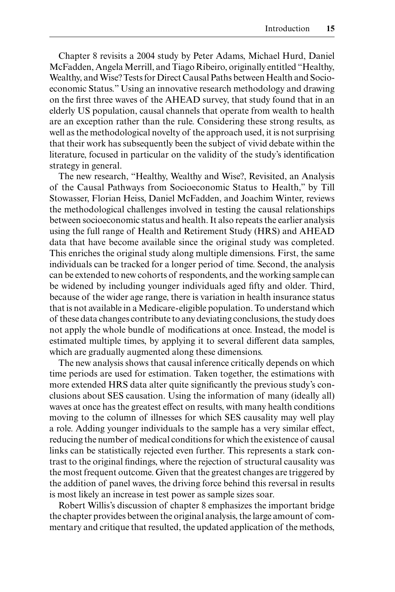Chapter 8 revisits a 2004 study by Peter Adams, Michael Hurd, Daniel McFadden, Angela Merrill, and Tiago Ribeiro, originally entitled "Healthy, Wealthy, and Wise? Tests for Direct Causal Paths between Health and Socioeconomic Status." Using an innovative research methodology and drawing on the first three waves of the AHEAD survey, that study found that in an elderly US population, causal channels that operate from wealth to health are an exception rather than the rule. Considering these strong results, as well as the methodological novelty of the approach used, it is not surprising that their work has subsequently been the subject of vivid debate within the literature, focused in particular on the validity of the study's identification strategy in general.

The new research, "Healthy, Wealthy and Wise?, Revisited, an Analysis of the Causal Pathways from Socioeconomic Status to Health," by Till Stowasser, Florian Heiss, Daniel McFadden, and Joachim Winter, reviews the methodological challenges involved in testing the causal relationships between socioeconomic status and health. It also repeats the earlier analysis using the full range of Health and Retirement Study (HRS) and AHEAD data that have become available since the original study was completed. This enriches the original study along multiple dimensions. First, the same individuals can be tracked for a longer period of time. Second, the analysis can be extended to new cohorts of respondents, and the working sample can be widened by including younger individuals aged fifty and older. Third, because of the wider age range, there is variation in health insurance status that is not available in a Medicare- eligible population. To understand which of these data changes contribute to any deviating conclusions, the study does not apply the whole bundle of modifications at once. Instead, the model is estimated multiple times, by applying it to several different data samples, which are gradually augmented along these dimensions.

The new analysis shows that causal inference critically depends on which time periods are used for estimation. Taken together, the estimations with more extended HRS data alter quite significantly the previous study's conclusions about SES causation. Using the information of many (ideally all) waves at once has the greatest effect on results, with many health conditions moving to the column of illnesses for which SES causality may well play a role. Adding younger individuals to the sample has a very similar effect, reducing the number of medical conditions for which the existence of causal links can be statistically rejected even further. This represents a stark contrast to the original findings, where the rejection of structural causality was the most frequent outcome. Given that the greatest changes are triggered by the addition of panel waves, the driving force behind this reversal in results is most likely an increase in test power as sample sizes soar.

Robert Willis's discussion of chapter 8 emphasizes the important bridge the chapter provides between the original analysis, the large amount of commentary and critique that resulted, the updated application of the methods,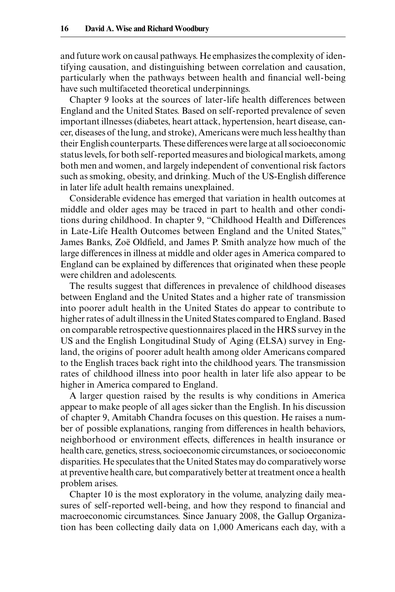and future work on causal pathways. He emphasizes the complexity of identifying causation, and distinguishing between correlation and causation, particularly when the pathways between health and financial well-being have such multifaceted theoretical underpinnings.

Chapter 9 looks at the sources of later- life health differences between England and the United States. Based on self- reported prevalence of seven important illnesses (diabetes, heart attack, hypertension, heart disease, cancer, diseases of the lung, and stroke), Americans were much less healthy than their English counterparts. These differences were large at all socioeconomic status levels, for both self- reported measures and biological markets, among both men and women, and largely independent of conventional risk factors such as smoking, obesity, and drinking. Much of the US-English difference in later life adult health remains unexplained.

Considerable evidence has emerged that variation in health outcomes at middle and older ages may be traced in part to health and other conditions during childhood. In chapter 9, "Childhood Health and Differences in Late-Life Health Outcomes between England and the United States," James Banks, Zoë Oldfield, and James P. Smith analyze how much of the large differences in illness at middle and older ages in America compared to England can be explained by differences that originated when these people were children and adolescents.

The results suggest that differences in prevalence of childhood diseases between England and the United States and a higher rate of transmission into poorer adult health in the United States do appear to contribute to higher rates of adult illness in the United States compared to England. Based on comparable retrospective questionnaires placed in the HRS survey in the US and the English Longitudinal Study of Aging (ELSA) survey in England, the origins of poorer adult health among older Americans compared to the English traces back right into the childhood years. The transmission rates of childhood illness into poor health in later life also appear to be higher in America compared to England.

A larger question raised by the results is why conditions in America appear to make people of all ages sicker than the English. In his discussion of chapter 9, Amitabh Chandra focuses on this question. He raises a number of possible explanations, ranging from differences in health behaviors, neighborhood or environment effects, differences in health insurance or health care, genetics, stress, socioeconomic circumstances, or socioeconomic disparities. He speculates that the United States may do comparatively worse at preventive health care, but comparatively better at treatment once a health problem arises.

Chapter 10 is the most exploratory in the volume, analyzing daily measures of self-reported well-being, and how they respond to financial and macroeconomic circumstances. Since January 2008, the Gallup Organization has been collecting daily data on 1,000 Americans each day, with a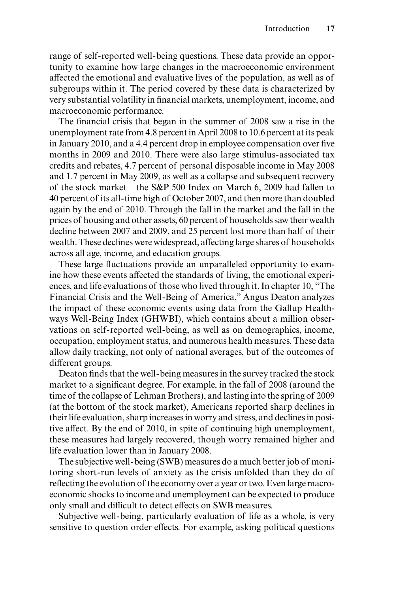range of self- reported well- being questions. These data provide an opportunity to examine how large changes in the macroeconomic environment affected the emotional and evaluative lives of the population, as well as of subgroups within it. The period covered by these data is characterized by very substantial volatility in financial markets, unemployment, income, and macroeconomic performance.

The financial crisis that began in the summer of 2008 saw a rise in the unemployment rate from 4.8 percent in April 2008 to 10.6 percent at its peak in January 2010, and a 4.4 percent drop in employee compensation over five months in 2009 and 2010. There were also large stimulus-associated tax credits and rebates, 4.7 percent of personal disposable income in May 2008 and 1.7 percent in May 2009, as well as a collapse and subsequent recovery of the stock market—the S&P 500 Index on March 6, 2009 had fallen to 40 percent of its all- time high of October 2007, and then more than doubled again by the end of 2010. Through the fall in the market and the fall in the prices of housing and other assets, 60 percent of households saw their wealth decline between 2007 and 2009, and 25 percent lost more than half of their wealth. These declines were widespread, affecting large shares of households across all age, income, and education groups.

These large fluctuations provide an unparalleled opportunity to examine how these events affected the standards of living, the emotional experiences, and life evaluations of those who lived through it. In chapter 10, "The Financial Crisis and the Well- Being of America," Angus Deaton analyzes the impact of these economic events using data from the Gallup Healthways Well- Being Index (GHWBI), which contains about a million observations on self- reported well- being, as well as on demographics, income, occupation, employment status, and numerous health measures. These data allow daily tracking, not only of national averages, but of the outcomes of different groups.

Deaton finds that the well-being measures in the survey tracked the stock market to a significant degree. For example, in the fall of 2008 (around the time of the collapse of Lehman Brothers), and lasting into the spring of 2009 (at the bottom of the stock market), Americans reported sharp declines in their life evaluation, sharp increases in worry and stress, and declines in positive affect. By the end of 2010, in spite of continuing high unemployment, these measures had largely recovered, though worry remained higher and life evaluation lower than in January 2008.

The subjective well- being (SWB) measures do a much better job of monitoring short- run levels of anxiety as the crisis unfolded than they do of reflecting the evolution of the economy over a year or two. Even large macroeconomic shocks to income and unemployment can be expected to produce only small and difficult to detect effects on SWB measures.

Subjective well- being, particularly evaluation of life as a whole, is very sensitive to question order effects. For example, asking political questions